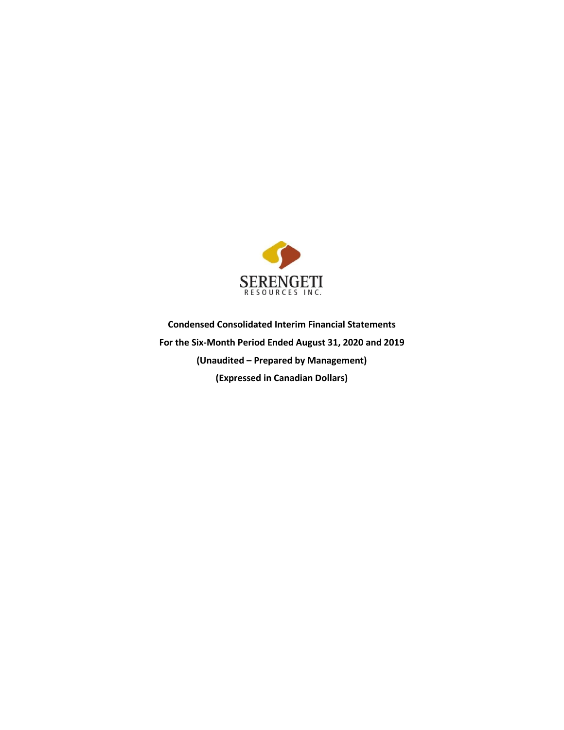

**Condensed Consolidated Interim Financial Statements For the Six-Month Period Ended August 31, 2020 and 2019 (Unaudited – Prepared by Management) (Expressed in Canadian Dollars)**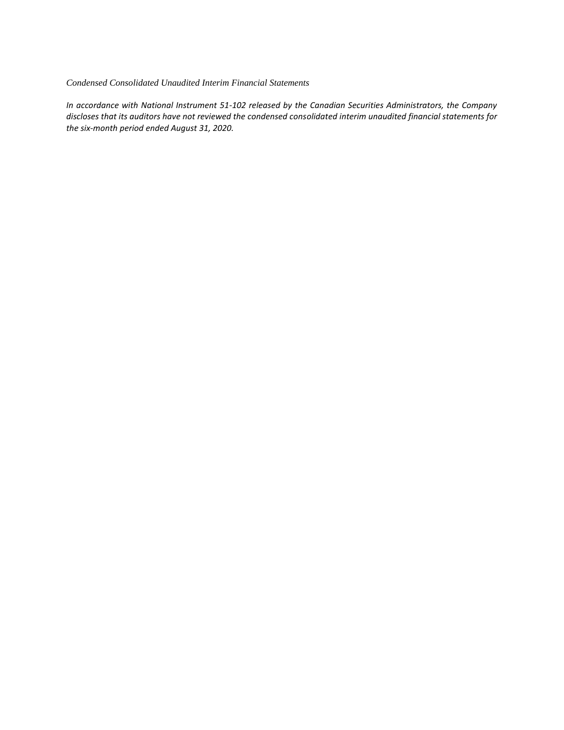#### *Condensed Consolidated Unaudited Interim Financial Statements*

*In accordance with National Instrument 51-102 released by the Canadian Securities Administrators, the Company discloses that its auditors have not reviewed the condensed consolidated interim unaudited financial statements for the six-month period ended August 31, 2020.*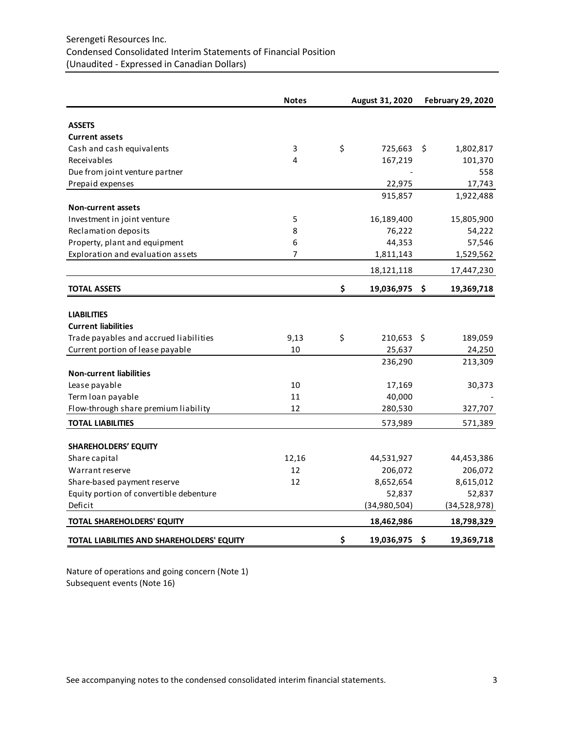# Serengeti Resources Inc. Condensed Consolidated Interim Statements of Financial Position (Unaudited - Expressed in Canadian Dollars)

|                                            | <b>Notes</b> | August 31, 2020  | <b>February 29, 2020</b> |              |  |
|--------------------------------------------|--------------|------------------|--------------------------|--------------|--|
| <b>ASSETS</b>                              |              |                  |                          |              |  |
| <b>Current assets</b>                      |              |                  |                          |              |  |
| Cash and cash equivalents                  | 3            | \$<br>725,663    | S.                       | 1,802,817    |  |
| Receivables                                | 4            | 167,219          |                          | 101,370      |  |
| Due from joint venture partner             |              |                  |                          | 558          |  |
| Prepaid expenses                           |              | 22,975           |                          | 17,743       |  |
|                                            |              | 915,857          |                          | 1,922,488    |  |
| <b>Non-current assets</b>                  |              |                  |                          |              |  |
| Investment in joint venture                | 5            | 16,189,400       |                          | 15,805,900   |  |
| Reclamation deposits                       | 8            | 76,222           |                          | 54,222       |  |
| Property, plant and equipment              | 6            | 44,353           |                          | 57,546       |  |
| Exploration and evaluation assets          | 7            | 1,811,143        |                          | 1,529,562    |  |
|                                            |              | 18,121,118       |                          | 17,447,230   |  |
| <b>TOTAL ASSETS</b>                        |              | \$<br>19,036,975 | - \$                     | 19,369,718   |  |
|                                            |              |                  |                          |              |  |
| <b>LIABILITIES</b>                         |              |                  |                          |              |  |
| <b>Current liabilities</b>                 |              |                  |                          |              |  |
| Trade payables and accrued liabilities     | 9,13         | \$<br>210,653 \$ |                          | 189,059      |  |
| Current portion of lease payable           | 10           | 25,637           |                          | 24,250       |  |
|                                            |              | 236,290          |                          | 213,309      |  |
| <b>Non-current liabilities</b>             |              |                  |                          |              |  |
| Lease payable                              | 10           | 17,169           |                          | 30,373       |  |
| Term loan payable                          | 11           | 40,000           |                          |              |  |
| Flow-through share premium liability       | 12           | 280,530          |                          | 327,707      |  |
| <b>TOTAL LIABILITIES</b>                   |              | 573,989          |                          | 571,389      |  |
| <b>SHAREHOLDERS' EQUITY</b>                |              |                  |                          |              |  |
| Share capital                              | 12,16        | 44,531,927       |                          | 44,453,386   |  |
| Warrant reserve                            | 12           | 206,072          |                          | 206,072      |  |
| Share-based payment reserve                | 12           | 8,652,654        |                          | 8,615,012    |  |
| Equity portion of convertible debenture    |              | 52,837           |                          | 52,837       |  |
| Deficit                                    |              | (34,980,504)     |                          | (34,528,978) |  |
| TOTAL SHAREHOLDERS' EQUITY                 |              | 18,462,986       |                          | 18,798,329   |  |
|                                            |              |                  |                          |              |  |
| TOTAL LIABILITIES AND SHAREHOLDERS' EQUITY |              | \$<br>19,036,975 | \$.                      | 19,369,718   |  |

Nature of operations and going concern (Note 1) Subsequent events (Note 16)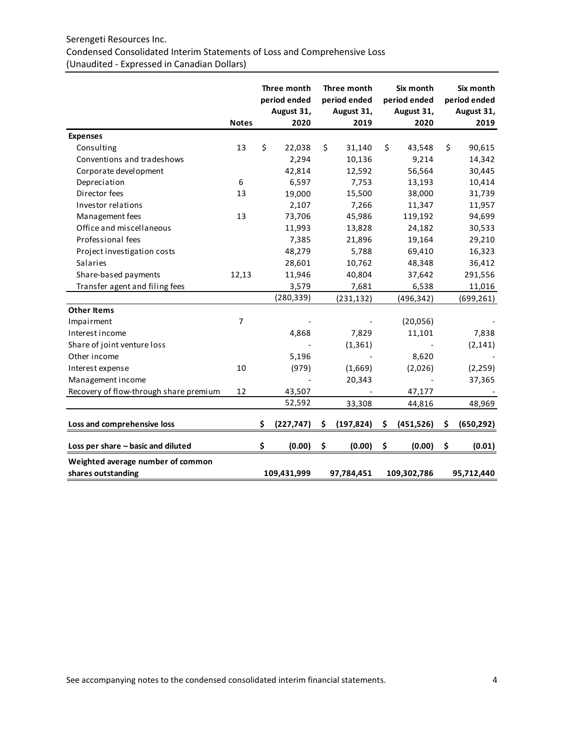## Serengeti Resources Inc.

# Condensed Consolidated Interim Statements of Loss and Comprehensive Loss (Unaudited - Expressed in Canadian Dollars)

|                                                         | <b>Notes</b>   | Three month<br>period ended<br>August 31,<br>2020 | Three month<br>period ended<br>August 31,<br>2019 | Six month<br>period ended<br>August 31,<br>2020 | Six month<br>period ended<br>August 31,<br>2019 |
|---------------------------------------------------------|----------------|---------------------------------------------------|---------------------------------------------------|-------------------------------------------------|-------------------------------------------------|
| <b>Expenses</b>                                         |                |                                                   |                                                   |                                                 |                                                 |
| Consulting                                              | 13             | \$<br>22,038                                      | \$<br>31,140                                      | \$<br>43,548                                    | \$<br>90,615                                    |
| Conventions and tradeshows                              |                | 2,294                                             | 10,136                                            | 9,214                                           | 14,342                                          |
| Corporate development                                   |                | 42,814                                            | 12,592                                            | 56,564                                          | 30,445                                          |
| Depreciation                                            | 6              | 6,597                                             | 7,753                                             | 13,193                                          | 10,414                                          |
| Director fees                                           | 13             | 19,000                                            | 15,500                                            | 38,000                                          | 31,739                                          |
| Investor relations                                      |                | 2,107                                             | 7,266                                             | 11,347                                          | 11,957                                          |
| Management fees                                         | 13             | 73,706                                            | 45,986                                            | 119,192                                         | 94,699                                          |
| Office and miscellaneous                                |                | 11,993                                            | 13,828                                            | 24,182                                          | 30,533                                          |
| Professional fees                                       |                | 7,385                                             | 21,896                                            | 19,164                                          | 29,210                                          |
| Project investigation costs                             |                | 48,279                                            | 5,788                                             | 69,410                                          | 16,323                                          |
| <b>Salaries</b>                                         |                | 28,601                                            | 10,762                                            | 48,348                                          | 36,412                                          |
| Share-based payments                                    | 12,13          | 11,946                                            | 40,804                                            | 37,642                                          | 291,556                                         |
| Transfer agent and filing fees                          |                | 3,579                                             | 7,681                                             | 6,538                                           | 11,016                                          |
|                                                         |                | (280, 339)                                        | (231, 132)                                        | (496, 342)                                      | (699, 261)                                      |
| <b>Other Items</b>                                      |                |                                                   |                                                   |                                                 |                                                 |
| Impairment                                              | $\overline{7}$ |                                                   |                                                   | (20,056)                                        |                                                 |
| Interest income                                         |                | 4,868                                             | 7,829                                             | 11,101                                          | 7,838                                           |
| Share of joint venture loss                             |                |                                                   | (1, 361)                                          |                                                 | (2, 141)                                        |
| Other income                                            |                | 5,196                                             |                                                   | 8,620                                           |                                                 |
| Interest expense                                        | 10             | (979)                                             | (1,669)                                           | (2,026)                                         | (2, 259)                                        |
| Management income                                       |                |                                                   | 20,343                                            |                                                 | 37,365                                          |
| Recovery of flow-through share premium                  | 12             | 43,507                                            |                                                   | 47,177                                          |                                                 |
|                                                         |                | 52,592                                            | 33,308                                            | 44,816                                          | 48,969                                          |
| Loss and comprehensive loss                             |                | \$<br>(227, 747)                                  | \$<br>(197, 824)                                  | \$<br>(451, 526)                                | \$<br>(650, 292)                                |
| Loss per share - basic and diluted                      |                | \$<br>(0.00)                                      | \$<br>(0.00)                                      | \$<br>(0.00)                                    | \$<br>(0.01)                                    |
| Weighted average number of common<br>shares outstanding |                | 109,431,999                                       | 97,784,451                                        | 109,302,786                                     | 95,712,440                                      |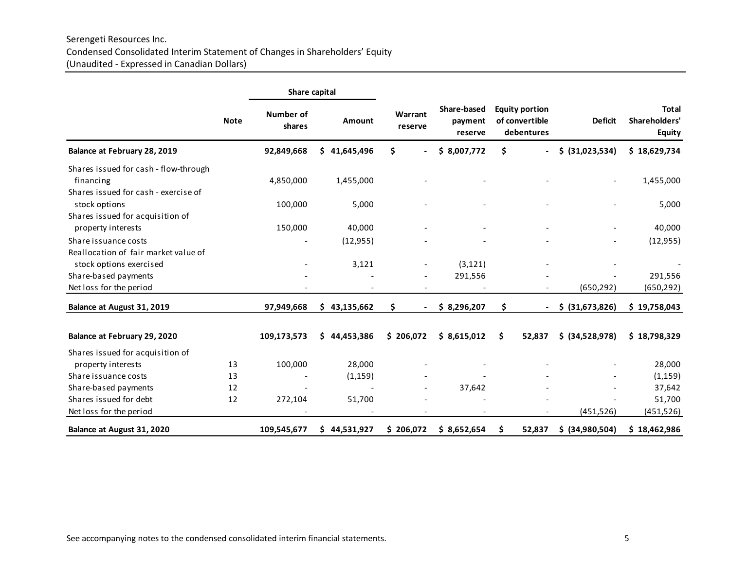# Serengeti Resources Inc. Condensed Consolidated Interim Statement of Changes in Shareholders' Equity (Unaudited - Expressed in Canadian Dollars)

|                                       |             | Share capital       |              |                    |                                   |    |                                                       |                          |                                                |
|---------------------------------------|-------------|---------------------|--------------|--------------------|-----------------------------------|----|-------------------------------------------------------|--------------------------|------------------------------------------------|
|                                       | <b>Note</b> | Number of<br>shares | Amount       | Warrant<br>reserve | Share-based<br>payment<br>reserve |    | <b>Equity portion</b><br>of convertible<br>debentures | <b>Deficit</b>           | <b>Total</b><br>Shareholders'<br><b>Equity</b> |
| Balance at February 28, 2019          |             | 92,849,668          | \$41,645,496 | \$                 | \$8,007,772                       | \$ |                                                       | \$ (31,023,534)          | \$18,629,734                                   |
| Shares issued for cash - flow-through |             |                     |              |                    |                                   |    |                                                       |                          |                                                |
| financing                             |             | 4,850,000           | 1,455,000    |                    |                                   |    |                                                       |                          | 1,455,000                                      |
| Shares issued for cash - exercise of  |             |                     |              |                    |                                   |    |                                                       |                          |                                                |
| stock options                         |             | 100,000             | 5,000        |                    |                                   |    |                                                       |                          | 5,000                                          |
| Shares issued for acquisition of      |             |                     |              |                    |                                   |    |                                                       |                          |                                                |
| property interests                    |             | 150,000             | 40,000       |                    |                                   |    |                                                       | $\overline{\phantom{a}}$ | 40,000                                         |
| Share issuance costs                  |             |                     | (12, 955)    |                    |                                   |    |                                                       |                          | (12, 955)                                      |
| Reallocation of fair market value of  |             |                     |              |                    |                                   |    |                                                       |                          |                                                |
| stock options exercised               |             |                     | 3,121        |                    | (3, 121)                          |    |                                                       |                          |                                                |
| Share-based payments                  |             |                     |              |                    | 291,556                           |    |                                                       |                          | 291,556                                        |
| Net loss for the period               |             |                     |              |                    |                                   |    |                                                       | (650, 292)               | (650, 292)                                     |
| Balance at August 31, 2019            |             | 97,949,668          | \$43,135,662 | \$                 | \$3,296,207                       | \$ |                                                       | \$ (31,673,826)          | \$19,758,043                                   |
| Balance at February 29, 2020          |             | 109,173,573         | \$44,453,386 | \$206,072          | \$8,615,012                       | \$ | 52,837                                                | \$ (34,528,978)          | \$18,798,329                                   |
| Shares issued for acquisition of      |             |                     |              |                    |                                   |    |                                                       |                          |                                                |
| property interests                    | 13          | 100,000             | 28,000       |                    |                                   |    |                                                       |                          | 28,000                                         |
| Share issuance costs                  | 13          |                     | (1, 159)     |                    |                                   |    |                                                       |                          | (1, 159)                                       |
| Share-based payments                  | 12          |                     |              |                    | 37,642                            |    |                                                       |                          | 37,642                                         |
| Shares issued for debt                | 12          | 272,104             | 51,700       |                    |                                   |    |                                                       |                          | 51,700                                         |
| Net loss for the period               |             |                     |              |                    |                                   |    |                                                       | (451, 526)               | (451, 526)                                     |
| Balance at August 31, 2020            |             | 109,545,677         | \$44,531,927 | \$206,072          | \$8,652,654                       | S  | 52,837                                                | \$ (34,980,504)          | \$18,462,986                                   |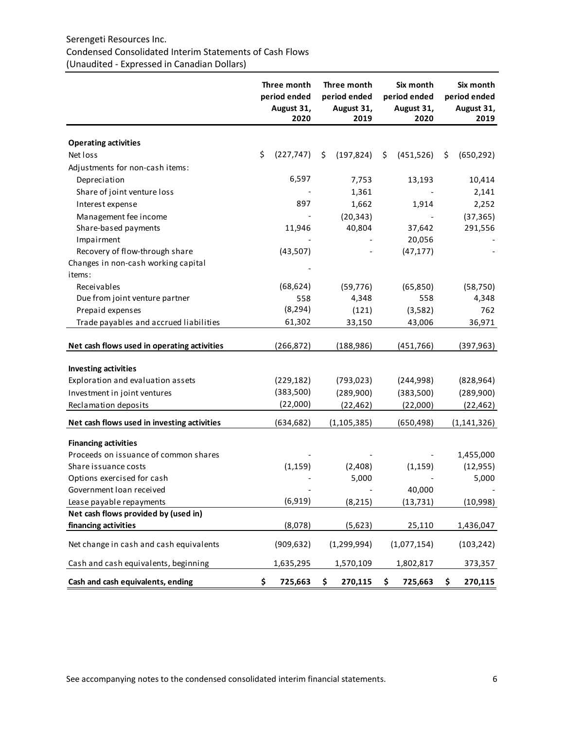# Serengeti Resources Inc. Condensed Consolidated Interim Statements of Cash Flows (Unaudited - Expressed in Canadian Dollars)

|                                             | Three month<br>period ended<br>August 31,<br>2020 | Three month<br>period ended<br>August 31,<br>2019 |               |    |             |                  |  |  |  |  |  | Six month<br>period ended<br>August 31,<br>2020 |  | Six month<br>period ended<br>August 31,<br>2019 |
|---------------------------------------------|---------------------------------------------------|---------------------------------------------------|---------------|----|-------------|------------------|--|--|--|--|--|-------------------------------------------------|--|-------------------------------------------------|
| <b>Operating activities</b>                 |                                                   |                                                   |               |    |             |                  |  |  |  |  |  |                                                 |  |                                                 |
| Net loss                                    | \$<br>(227, 747)                                  | \$                                                | (197, 824)    | \$ | (451, 526)  | \$<br>(650, 292) |  |  |  |  |  |                                                 |  |                                                 |
| Adjustments for non-cash items:             |                                                   |                                                   |               |    |             |                  |  |  |  |  |  |                                                 |  |                                                 |
| Depreciation                                | 6,597                                             |                                                   | 7,753         |    | 13,193      | 10,414           |  |  |  |  |  |                                                 |  |                                                 |
| Share of joint venture loss                 |                                                   |                                                   | 1,361         |    |             | 2,141            |  |  |  |  |  |                                                 |  |                                                 |
| Interest expense                            | 897                                               |                                                   | 1,662         |    | 1,914       | 2,252            |  |  |  |  |  |                                                 |  |                                                 |
| Management fee income                       |                                                   |                                                   | (20, 343)     |    |             | (37, 365)        |  |  |  |  |  |                                                 |  |                                                 |
| Share-based payments                        | 11,946                                            |                                                   | 40,804        |    | 37,642      | 291,556          |  |  |  |  |  |                                                 |  |                                                 |
| Impairment                                  |                                                   |                                                   |               |    | 20,056      |                  |  |  |  |  |  |                                                 |  |                                                 |
| Recovery of flow-through share              | (43, 507)                                         |                                                   |               |    | (47, 177)   |                  |  |  |  |  |  |                                                 |  |                                                 |
| Changes in non-cash working capital         |                                                   |                                                   |               |    |             |                  |  |  |  |  |  |                                                 |  |                                                 |
| items:                                      |                                                   |                                                   |               |    |             |                  |  |  |  |  |  |                                                 |  |                                                 |
| Receivables                                 | (68, 624)                                         |                                                   | (59, 776)     |    | (65, 850)   | (58, 750)        |  |  |  |  |  |                                                 |  |                                                 |
| Due from joint venture partner              | 558                                               |                                                   | 4,348         |    | 558         | 4,348            |  |  |  |  |  |                                                 |  |                                                 |
| Prepaid expenses                            | (8, 294)                                          |                                                   | (121)         |    | (3,582)     | 762              |  |  |  |  |  |                                                 |  |                                                 |
| Trade payables and accrued liabilities      | 61,302                                            |                                                   | 33,150        |    | 43,006      | 36,971           |  |  |  |  |  |                                                 |  |                                                 |
| Net cash flows used in operating activities | (266, 872)                                        |                                                   | (188,986)     |    | (451,766)   | (397, 963)       |  |  |  |  |  |                                                 |  |                                                 |
| <b>Investing activities</b>                 |                                                   |                                                   |               |    |             |                  |  |  |  |  |  |                                                 |  |                                                 |
| Exploration and evaluation assets           | (229, 182)                                        |                                                   | (793, 023)    |    | (244,998)   | (828, 964)       |  |  |  |  |  |                                                 |  |                                                 |
| Investment in joint ventures                | (383,500)                                         |                                                   | (289,900)     |    | (383,500)   | (289,900)        |  |  |  |  |  |                                                 |  |                                                 |
| Reclamation deposits                        | (22,000)                                          |                                                   | (22, 462)     |    | (22,000)    | (22, 462)        |  |  |  |  |  |                                                 |  |                                                 |
| Net cash flows used in investing activities | (634, 682)                                        |                                                   | (1, 105, 385) |    | (650,498)   | (1, 141, 326)    |  |  |  |  |  |                                                 |  |                                                 |
| <b>Financing activities</b>                 |                                                   |                                                   |               |    |             |                  |  |  |  |  |  |                                                 |  |                                                 |
| Proceeds on issuance of common shares       |                                                   |                                                   |               |    |             | 1,455,000        |  |  |  |  |  |                                                 |  |                                                 |
| Share issuance costs                        | (1, 159)                                          |                                                   | (2,408)       |    | (1, 159)    | (12, 955)        |  |  |  |  |  |                                                 |  |                                                 |
| Options exercised for cash                  |                                                   |                                                   | 5,000         |    |             | 5,000            |  |  |  |  |  |                                                 |  |                                                 |
| Government loan received                    |                                                   |                                                   |               |    | 40,000      |                  |  |  |  |  |  |                                                 |  |                                                 |
| Lease payable repayments                    | (6, 919)                                          |                                                   | (8, 215)      |    | (13, 731)   | (10, 998)        |  |  |  |  |  |                                                 |  |                                                 |
| Net cash flows provided by (used in)        |                                                   |                                                   |               |    |             |                  |  |  |  |  |  |                                                 |  |                                                 |
| financing activities                        | (8,078)                                           |                                                   | (5,623)       |    | 25,110      | 1,436,047        |  |  |  |  |  |                                                 |  |                                                 |
| Net change in cash and cash equivalents     | (909, 632)                                        |                                                   | (1, 299, 994) |    | (1,077,154) | (103, 242)       |  |  |  |  |  |                                                 |  |                                                 |
| Cash and cash equivalents, beginning        | 1,635,295                                         |                                                   | 1,570,109     |    | 1,802,817   | 373,357          |  |  |  |  |  |                                                 |  |                                                 |
| Cash and cash equivalents, ending           | \$<br>725,663                                     | \$                                                | 270,115       | \$ | 725,663     | \$<br>270,115    |  |  |  |  |  |                                                 |  |                                                 |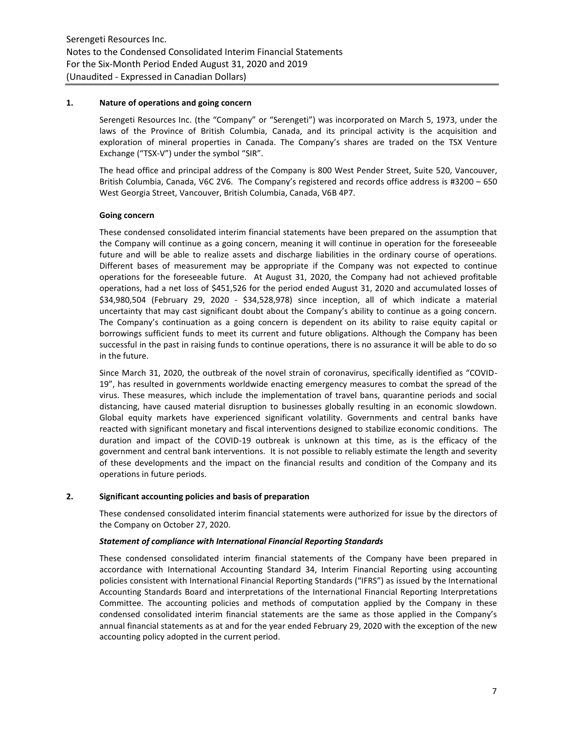#### **1. Nature of operations and going concern**

Serengeti Resources Inc. (the "Company" or "Serengeti") was incorporated on March 5, 1973, under the laws of the Province of British Columbia, Canada, and its principal activity is the acquisition and exploration of mineral properties in Canada. The Company's shares are traded on the TSX Venture Exchange ("TSX-V") under the symbol "SIR".

The head office and principal address of the Company is 800 West Pender Street, Suite 520, Vancouver, British Columbia, Canada, V6C 2V6. The Company's registered and records office address is #3200 – 650 West Georgia Street, Vancouver, British Columbia, Canada, V6B 4P7.

## **Going concern**

These condensed consolidated interim financial statements have been prepared on the assumption that the Company will continue as a going concern, meaning it will continue in operation for the foreseeable future and will be able to realize assets and discharge liabilities in the ordinary course of operations. Different bases of measurement may be appropriate if the Company was not expected to continue operations for the foreseeable future. At August 31, 2020, the Company had not achieved profitable operations, had a net loss of \$451,526 for the period ended August 31, 2020 and accumulated losses of \$34,980,504 (February 29, 2020 - \$34,528,978) since inception, all of which indicate a material uncertainty that may cast significant doubt about the Company's ability to continue as a going concern. The Company's continuation as a going concern is dependent on its ability to raise equity capital or borrowings sufficient funds to meet its current and future obligations. Although the Company has been successful in the past in raising funds to continue operations, there is no assurance it will be able to do so in the future.

Since March 31, 2020, the outbreak of the novel strain of coronavirus, specifically identified as "COVID-19", has resulted in governments worldwide enacting emergency measures to combat the spread of the virus. These measures, which include the implementation of travel bans, quarantine periods and social distancing, have caused material disruption to businesses globally resulting in an economic slowdown. Global equity markets have experienced significant volatility. Governments and central banks have reacted with significant monetary and fiscal interventions designed to stabilize economic conditions. The duration and impact of the COVID-19 outbreak is unknown at this time, as is the efficacy of the government and central bank interventions. It is not possible to reliably estimate the length and severity of these developments and the impact on the financial results and condition of the Company and its operations in future periods.

## **2. Significant accounting policies and basis of preparation**

These condensed consolidated interim financial statements were authorized for issue by the directors of the Company on October 27, 2020.

#### *Statement of compliance with International Financial Reporting Standards*

These condensed consolidated interim financial statements of the Company have been prepared in accordance with International Accounting Standard 34, Interim Financial Reporting using accounting policies consistent with International Financial Reporting Standards ("IFRS") as issued by the International Accounting Standards Board and interpretations of the International Financial Reporting Interpretations Committee. The accounting policies and methods of computation applied by the Company in these condensed consolidated interim financial statements are the same as those applied in the Company's annual financial statements as at and for the year ended February 29, 2020 with the exception of the new accounting policy adopted in the current period.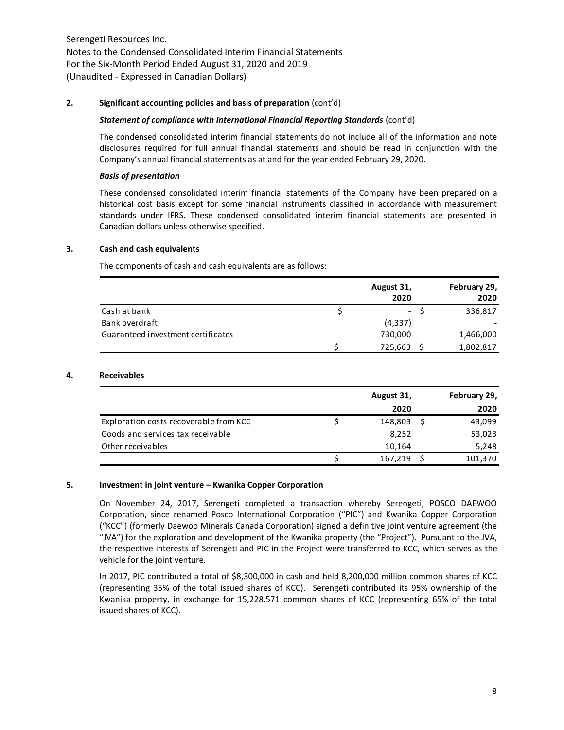## **2. Significant accounting policies and basis of preparation** (cont'd)

#### *Statement of compliance with International Financial Reporting Standards* (cont'd)

The condensed consolidated interim financial statements do not include all of the information and note disclosures required for full annual financial statements and should be read in conjunction with the Company's annual financial statements as at and for the year ended February 29, 2020.

## *Basis of presentation*

These condensed consolidated interim financial statements of the Company have been prepared on a historical cost basis except for some financial instruments classified in accordance with measurement standards under IFRS. These condensed consolidated interim financial statements are presented in Canadian dollars unless otherwise specified.

## **3. Cash and cash equivalents**

The components of cash and cash equivalents are as follows:

|                                    | August 31,<br>2020 | February 29,<br>2020 |
|------------------------------------|--------------------|----------------------|
| Cash at bank                       | $\sim$             | 336,817              |
| Bank overdraft                     | (4, 337)           |                      |
| Guaranteed investment certificates | 730,000            | 1,466,000            |
|                                    | 725,663            | 1,802,817            |

## **4. Receivables**

|                                        | August 31, | February 29, |         |  |
|----------------------------------------|------------|--------------|---------|--|
|                                        | 2020       |              | 2020    |  |
| Exploration costs recoverable from KCC | 148,803    |              | 43,099  |  |
| Goods and services tax receivable      | 8,252      |              | 53,023  |  |
| Other receivables                      | 10,164     |              | 5,248   |  |
|                                        | 167,219    |              | 101,370 |  |

#### **5. Investment in joint venture – Kwanika Copper Corporation**

On November 24, 2017, Serengeti completed a transaction whereby Serengeti, POSCO DAEWOO Corporation, since renamed Posco International Corporation ("PIC") and Kwanika Copper Corporation ("KCC") (formerly Daewoo Minerals Canada Corporation) signed a definitive joint venture agreement (the "JVA") for the exploration and development of the Kwanika property (the "Project"). Pursuant to the JVA, the respective interests of Serengeti and PIC in the Project were transferred to KCC, which serves as the vehicle for the joint venture.

In 2017, PIC contributed a total of \$8,300,000 in cash and held 8,200,000 million common shares of KCC (representing 35% of the total issued shares of KCC). Serengeti contributed its 95% ownership of the Kwanika property, in exchange for 15,228,571 common shares of KCC (representing 65% of the total issued shares of KCC).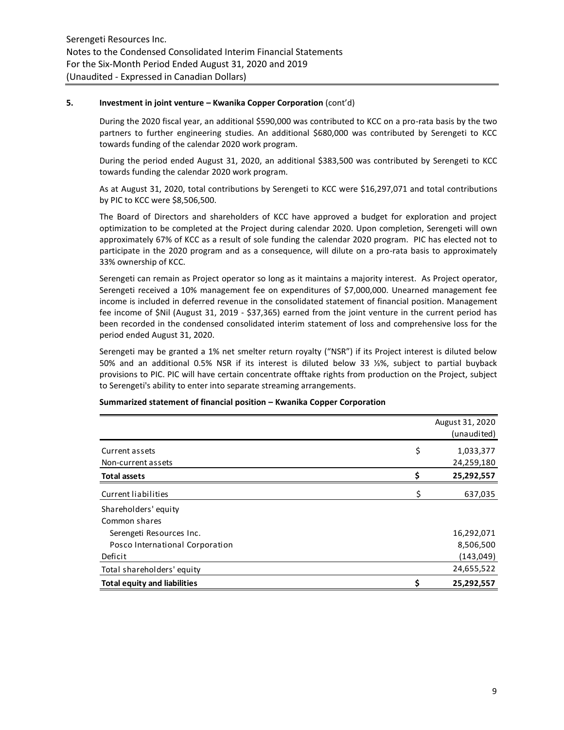## **5. Investment in joint venture – Kwanika Copper Corporation** (cont'd)

During the 2020 fiscal year, an additional \$590,000 was contributed to KCC on a pro-rata basis by the two partners to further engineering studies. An additional \$680,000 was contributed by Serengeti to KCC towards funding of the calendar 2020 work program.

During the period ended August 31, 2020, an additional \$383,500 was contributed by Serengeti to KCC towards funding the calendar 2020 work program.

As at August 31, 2020, total contributions by Serengeti to KCC were \$16,297,071 and total contributions by PIC to KCC were \$8,506,500.

The Board of Directors and shareholders of KCC have approved a budget for exploration and project optimization to be completed at the Project during calendar 2020. Upon completion, Serengeti will own approximately 67% of KCC as a result of sole funding the calendar 2020 program. PIC has elected not to participate in the 2020 program and as a consequence, will dilute on a pro-rata basis to approximately 33% ownership of KCC.

Serengeti can remain as Project operator so long as it maintains a majority interest. As Project operator, Serengeti received a 10% management fee on expenditures of \$7,000,000. Unearned management fee income is included in deferred revenue in the consolidated statement of financial position. Management fee income of \$Nil (August 31, 2019 - \$37,365) earned from the joint venture in the current period has been recorded in the condensed consolidated interim statement of loss and comprehensive loss for the period ended August 31, 2020.

Serengeti may be granted a 1% net smelter return royalty ("NSR") if its Project interest is diluted below 50% and an additional 0.5% NSR if its interest is diluted below 33 ⅓%, subject to partial buyback provisions to PIC. PIC will have certain concentrate offtake rights from production on the Project, subject to Serengeti's ability to enter into separate streaming arrangements.

|                                     |    | August 31, 2020<br>(unaudited) |
|-------------------------------------|----|--------------------------------|
| Current assets                      | \$ | 1,033,377                      |
| Non-current assets                  |    | 24,259,180                     |
| <b>Total assets</b>                 | Ś  | 25,292,557                     |
| Current liabilities                 | \$ | 637,035                        |
| Shareholders' equity                |    |                                |
| Common shares                       |    |                                |
| Serengeti Resources Inc.            |    | 16,292,071                     |
| Posco International Corporation     |    | 8,506,500                      |
| Deficit                             |    | (143,049)                      |
| Total shareholders' equity          |    | 24,655,522                     |
| <b>Total equity and liabilities</b> |    | 25,292,557                     |

#### **Summarized statement of financial position – Kwanika Copper Corporation**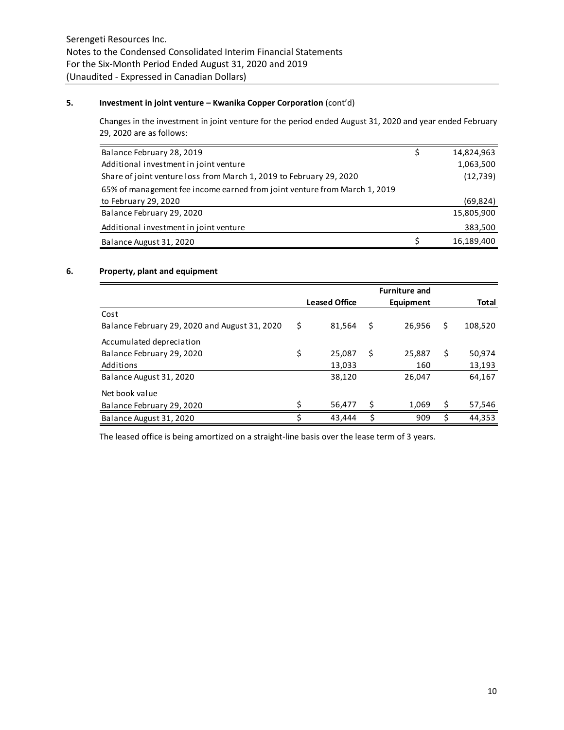## **5. Investment in joint venture – Kwanika Copper Corporation** (cont'd)

Changes in the investment in joint venture for the period ended August 31, 2020 and year ended February 29, 2020 are as follows:

| Balance February 28, 2019                                                 | 14,824,963 |
|---------------------------------------------------------------------------|------------|
| Additional investment in joint venture                                    | 1,063,500  |
| Share of joint venture loss from March 1, 2019 to February 29, 2020       | (12, 739)  |
| 65% of management fee income earned from joint venture from March 1, 2019 |            |
| to February 29, 2020                                                      | (69, 824)  |
| Balance February 29, 2020                                                 | 15,805,900 |
| Additional investment in joint venture                                    | 383,500    |
| Balance August 31, 2020                                                   | 16,189,400 |

## **6. Property, plant and equipment**

|                                               |    |                      |     | <b>Furniture and</b> |    |         |
|-----------------------------------------------|----|----------------------|-----|----------------------|----|---------|
|                                               |    | <b>Leased Office</b> |     | Equipment            |    | Total   |
| Cost                                          |    |                      |     |                      |    |         |
| Balance February 29, 2020 and August 31, 2020 | \$ | 81.564               | \$  | 26.956               | \$ | 108,520 |
| Accumulated depreciation                      |    |                      |     |                      |    |         |
| Balance February 29, 2020                     | \$ | 25,087               | \$. | 25,887               | \$ | 50,974  |
| Additions                                     |    | 13,033               |     | 160                  |    | 13,193  |
| Balance August 31, 2020                       |    | 38,120               |     | 26,047               |    | 64,167  |
| Net book value                                |    |                      |     |                      |    |         |
| Balance February 29, 2020                     | ς  | 56,477               | Ś   | 1,069                | Ś  | 57,546  |
| Balance August 31, 2020                       |    | 43.444               | Ś   | 909                  |    | 44,353  |

The leased office is being amortized on a straight-line basis over the lease term of 3 years.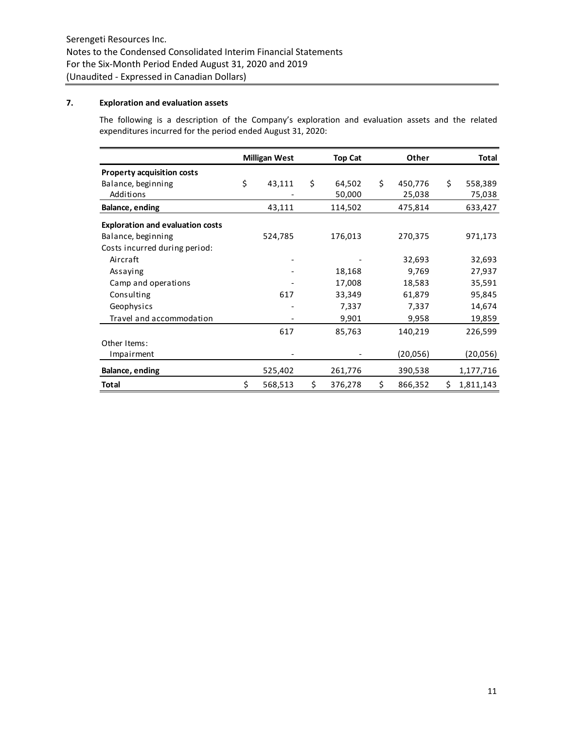## **7. Exploration and evaluation assets**

The following is a description of the Company's exploration and evaluation assets and the related expenditures incurred for the period ended August 31, 2020:

|                                         | <b>Milligan West</b> | <b>Top Cat</b> | Other         | Total           |
|-----------------------------------------|----------------------|----------------|---------------|-----------------|
| <b>Property acquisition costs</b>       |                      |                |               |                 |
| Balance, beginning                      | \$<br>43,111         | \$<br>64,502   | \$<br>450,776 | \$<br>558,389   |
| Additions                               |                      | 50,000         | 25,038        | 75,038          |
| Balance, ending                         | 43,111               | 114,502        | 475,814       | 633,427         |
| <b>Exploration and evaluation costs</b> |                      |                |               |                 |
| Balance, beginning                      | 524,785              | 176,013        | 270,375       | 971,173         |
| Costs incurred during period:           |                      |                |               |                 |
| Aircraft                                |                      |                | 32,693        | 32,693          |
| Assaying                                |                      | 18,168         | 9,769         | 27,937          |
| Camp and operations                     |                      | 17,008         | 18,583        | 35,591          |
| Consulting                              | 617                  | 33,349         | 61,879        | 95,845          |
| Geophysics                              |                      | 7,337          | 7,337         | 14,674          |
| Travel and accommodation                |                      | 9,901          | 9,958         | 19,859          |
|                                         | 617                  | 85,763         | 140,219       | 226,599         |
| Other Items:                            |                      |                |               |                 |
| Impairment                              |                      |                | (20,056)      | (20, 056)       |
| Balance, ending                         | 525,402              | 261,776        | 390,538       | 1,177,716       |
| <b>Total</b>                            | \$<br>568,513        | \$<br>376,278  | \$<br>866,352 | \$<br>1,811,143 |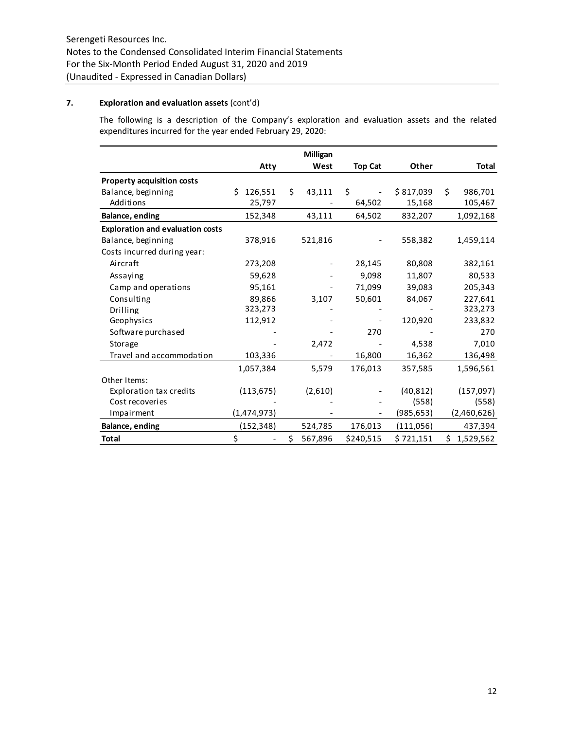# **7. Exploration and evaluation assets** (cont'd)

The following is a description of the Company's exploration and evaluation assets and the related expenditures incurred for the year ended February 29, 2020:

|                                         |               |    | <b>Milligan</b> |                |            |    |             |
|-----------------------------------------|---------------|----|-----------------|----------------|------------|----|-------------|
|                                         | Atty          |    | West            | <b>Top Cat</b> | Other      |    | Total       |
| <b>Property acquisition costs</b>       |               |    |                 |                |            |    |             |
| Balance, beginning                      | 126,551<br>Ś. | Ś. | 43,111          | \$             | \$817,039  | Ś. | 986,701     |
| Additions                               | 25,797        |    |                 | 64,502         | 15,168     |    | 105,467     |
| <b>Balance, ending</b>                  | 152,348       |    | 43,111          | 64,502         | 832,207    |    | 1,092,168   |
| <b>Exploration and evaluation costs</b> |               |    |                 |                |            |    |             |
| Balance, beginning                      | 378,916       |    | 521,816         |                | 558,382    |    | 1,459,114   |
| Costs incurred during year:             |               |    |                 |                |            |    |             |
| Aircraft                                | 273,208       |    |                 | 28,145         | 80,808     |    | 382,161     |
| Assaying                                | 59,628        |    |                 | 9,098          | 11,807     |    | 80,533      |
| Camp and operations                     | 95,161        |    |                 | 71,099         | 39,083     |    | 205,343     |
| Consulting                              | 89,866        |    | 3,107           | 50,601         | 84,067     |    | 227,641     |
| <b>Drilling</b>                         | 323,273       |    |                 |                |            |    | 323,273     |
| Geophysics                              | 112,912       |    |                 |                | 120,920    |    | 233,832     |
| Software purchased                      |               |    |                 | 270            |            |    | 270         |
| Storage                                 |               |    | 2,472           |                | 4,538      |    | 7,010       |
| Travel and accommodation                | 103,336       |    |                 | 16,800         | 16,362     |    | 136,498     |
|                                         | 1,057,384     |    | 5,579           | 176,013        | 357,585    |    | 1,596,561   |
| Other Items:                            |               |    |                 |                |            |    |             |
| <b>Exploration tax credits</b>          | (113, 675)    |    | (2,610)         |                | (40, 812)  |    | (157,097)   |
| Cost recoveries                         |               |    |                 |                | (558)      |    | (558)       |
| Impairment                              | (1,474,973)   |    |                 |                | (985, 653) |    | (2,460,626) |
| <b>Balance, ending</b>                  | (152, 348)    |    | 524,785         | 176,013        | (111,056)  |    | 437,394     |
| <b>Total</b>                            | \$            | \$ | 567,896         | \$240,515      | \$721,151  | \$ | 1,529,562   |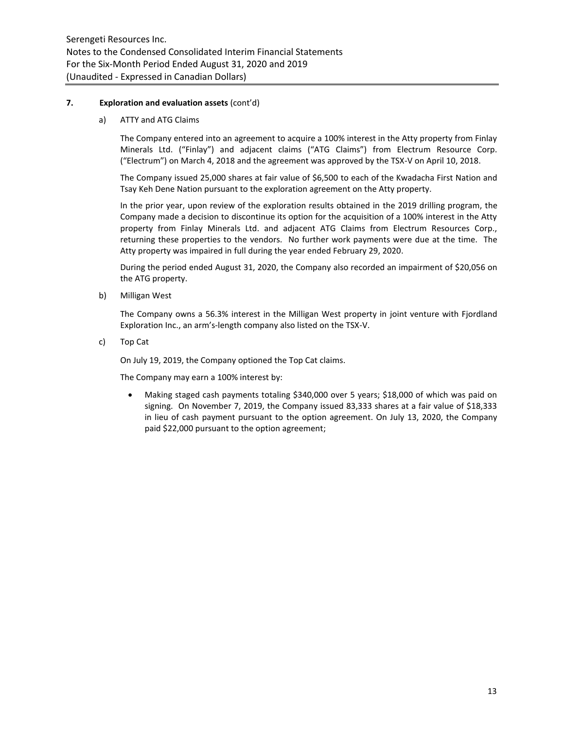## **7. Exploration and evaluation assets** (cont'd)

a) ATTY and ATG Claims

The Company entered into an agreement to acquire a 100% interest in the Atty property from Finlay Minerals Ltd. ("Finlay") and adjacent claims ("ATG Claims") from Electrum Resource Corp. ("Electrum") on March 4, 2018 and the agreement was approved by the TSX-V on April 10, 2018.

The Company issued 25,000 shares at fair value of \$6,500 to each of the Kwadacha First Nation and Tsay Keh Dene Nation pursuant to the exploration agreement on the Atty property.

In the prior year, upon review of the exploration results obtained in the 2019 drilling program, the Company made a decision to discontinue its option for the acquisition of a 100% interest in the Atty property from Finlay Minerals Ltd. and adjacent ATG Claims from Electrum Resources Corp., returning these properties to the vendors. No further work payments were due at the time. The Atty property was impaired in full during the year ended February 29, 2020.

During the period ended August 31, 2020, the Company also recorded an impairment of \$20,056 on the ATG property.

b) Milligan West

The Company owns a 56.3% interest in the Milligan West property in joint venture with Fjordland Exploration Inc., an arm's-length company also listed on the TSX-V.

c) Top Cat

On July 19, 2019, the Company optioned the Top Cat claims.

The Company may earn a 100% interest by:

 Making staged cash payments totaling \$340,000 over 5 years; \$18,000 of which was paid on signing. On November 7, 2019, the Company issued 83,333 shares at a fair value of \$18,333 in lieu of cash payment pursuant to the option agreement. On July 13, 2020, the Company paid \$22,000 pursuant to the option agreement;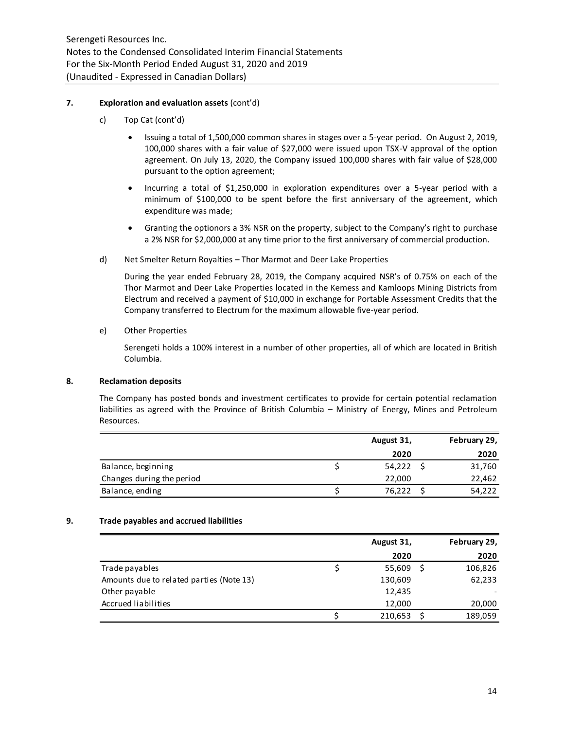## **7. Exploration and evaluation assets** (cont'd)

- c) Top Cat (cont'd)
	- Issuing a total of 1,500,000 common shares in stages over a 5-year period. On August 2, 2019, 100,000 shares with a fair value of \$27,000 were issued upon TSX-V approval of the option agreement. On July 13, 2020, the Company issued 100,000 shares with fair value of \$28,000 pursuant to the option agreement;
	- Incurring a total of \$1,250,000 in exploration expenditures over a 5-year period with a minimum of \$100,000 to be spent before the first anniversary of the agreement, which expenditure was made;
	- Granting the optionors a 3% NSR on the property, subject to the Company's right to purchase a 2% NSR for \$2,000,000 at any time prior to the first anniversary of commercial production.
- d) Net Smelter Return Royalties Thor Marmot and Deer Lake Properties

During the year ended February 28, 2019, the Company acquired NSR's of 0.75% on each of the Thor Marmot and Deer Lake Properties located in the Kemess and Kamloops Mining Districts from Electrum and received a payment of \$10,000 in exchange for Portable Assessment Credits that the Company transferred to Electrum for the maximum allowable five-year period.

e) Other Properties

Serengeti holds a 100% interest in a number of other properties, all of which are located in British Columbia.

## **8. Reclamation deposits**

The Company has posted bonds and investment certificates to provide for certain potential reclamation liabilities as agreed with the Province of British Columbia – Ministry of Energy, Mines and Petroleum Resources.

|                           | August 31, | February 29, |
|---------------------------|------------|--------------|
|                           | 2020       | 2020         |
| Balance, beginning        | 54,222     | 31,760       |
| Changes during the period | 22,000     | 22,462       |
| Balance, ending           | 76,222     | 54,222       |
|                           |            |              |

## **9. Trade payables and accrued liabilities**

|                                          | August 31, | February 29, |
|------------------------------------------|------------|--------------|
|                                          | 2020       | 2020         |
| Trade payables                           | 55,609     | 106,826      |
| Amounts due to related parties (Note 13) | 130,609    | 62,233       |
| Other payable                            | 12,435     |              |
| Accrued liabilities                      | 12,000     | 20,000       |
|                                          | 210,653    | 189,059      |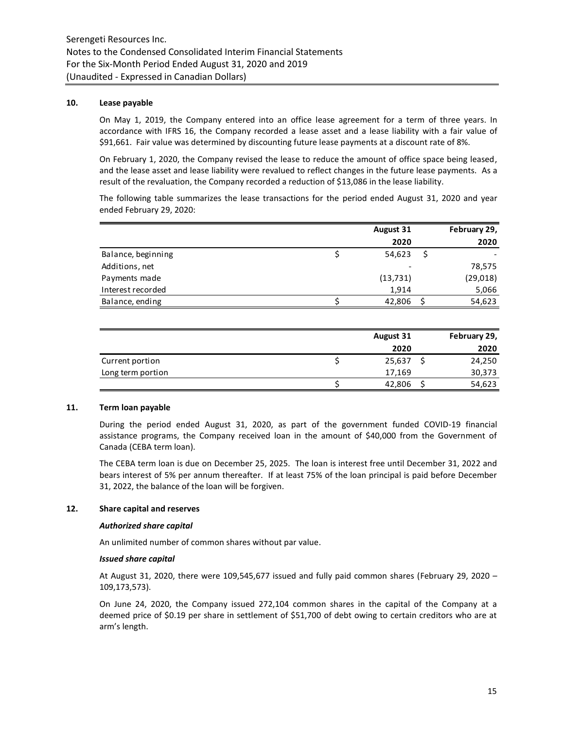#### **10. Lease payable**

On May 1, 2019, the Company entered into an office lease agreement for a term of three years. In accordance with IFRS 16, the Company recorded a lease asset and a lease liability with a fair value of \$91,661. Fair value was determined by discounting future lease payments at a discount rate of 8%.

On February 1, 2020, the Company revised the lease to reduce the amount of office space being leased, and the lease asset and lease liability were revalued to reflect changes in the future lease payments. As a result of the revaluation, the Company recorded a reduction of \$13,086 in the lease liability.

The following table summarizes the lease transactions for the period ended August 31, 2020 and year ended February 29, 2020:

|                    | <b>August 31</b> | February 29, |
|--------------------|------------------|--------------|
|                    | 2020             | 2020         |
| Balance, beginning | 54,623           |              |
| Additions, net     |                  | 78,575       |
| Payments made      | (13, 731)        | (29, 018)    |
| Interest recorded  | 1,914            | 5,066        |
| Balance, ending    | 42,806           | 54,623       |

|                   | August 31 | February 29, |
|-------------------|-----------|--------------|
|                   | 2020      | 2020         |
| Current portion   | 25,637    | 24,250       |
| Long term portion | 17,169    | 30,373       |
|                   | 42,806    | 54,623       |

#### **11. Term loan payable**

During the period ended August 31, 2020, as part of the government funded COVID-19 financial assistance programs, the Company received loan in the amount of \$40,000 from the Government of Canada (CEBA term loan).

The CEBA term loan is due on December 25, 2025. The loan is interest free until December 31, 2022 and bears interest of 5% per annum thereafter. If at least 75% of the loan principal is paid before December 31, 2022, the balance of the loan will be forgiven.

#### **12. Share capital and reserves**

#### *Authorized share capital*

An unlimited number of common shares without par value.

#### *Issued share capital*

At August 31, 2020, there were 109,545,677 issued and fully paid common shares (February 29, 2020 – 109,173,573).

On June 24, 2020, the Company issued 272,104 common shares in the capital of the Company at a deemed price of \$0.19 per share in settlement of \$51,700 of debt owing to certain creditors who are at arm's length.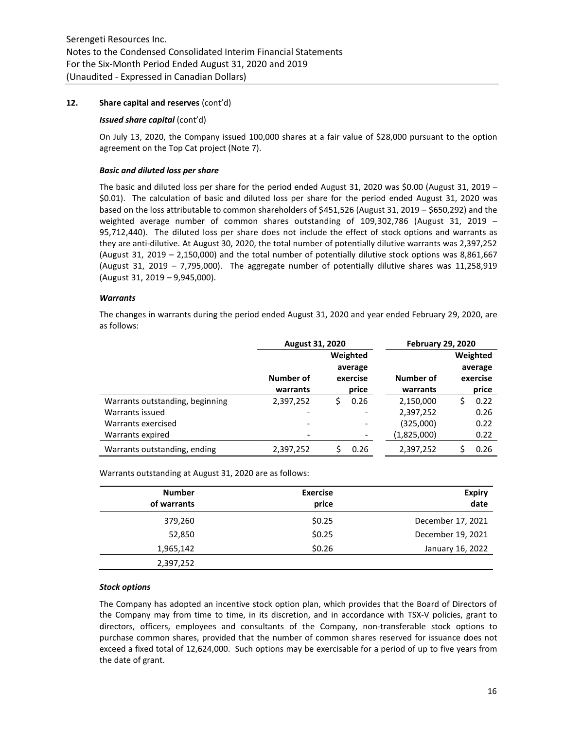## **12. Share capital and reserves** (cont'd)

#### *Issued share capital* (cont'd)

On July 13, 2020, the Company issued 100,000 shares at a fair value of \$28,000 pursuant to the option agreement on the Top Cat project (Note 7).

#### *Basic and diluted loss per share*

The basic and diluted loss per share for the period ended August 31, 2020 was \$0.00 (August 31, 2019  $-$ \$0.01). The calculation of basic and diluted loss per share for the period ended August 31, 2020 was based on the loss attributable to common shareholders of \$451,526 (August 31, 2019 – \$650,292) and the weighted average number of common shares outstanding of 109,302,786 (August 31, 2019 – 95,712,440). The diluted loss per share does not include the effect of stock options and warrants as they are anti-dilutive. At August 30, 2020, the total number of potentially dilutive warrants was 2,397,252 (August 31, 2019 – 2,150,000) and the total number of potentially dilutive stock options was 8,861,667 (August 31, 2019 – 7,795,000). The aggregate number of potentially dilutive shares was 11,258,919 (August 31, 2019 – 9,945,000).

## *Warrants*

The changes in warrants during the period ended August 31, 2020 and year ended February 29, 2020, are as follows:

|                                 | <b>August 31, 2020</b> |   |          | <b>February 29, 2020</b> |            |
|---------------------------------|------------------------|---|----------|--------------------------|------------|
|                                 |                        |   | Weighted |                          | Weighted   |
|                                 |                        |   | average  |                          | average    |
|                                 | Number of              |   | exercise | Number of                | exercise   |
|                                 | warrants               |   | price    | warrants                 | price      |
| Warrants outstanding, beginning | 2,397,252              | S | 0.26     | 2,150,000                | \$<br>0.22 |
| Warrants issued                 |                        |   |          | 2,397,252                | 0.26       |
| Warrants exercised              | -                      |   | -        | (325,000)                | 0.22       |
| Warrants expired                |                        |   |          | (1,825,000)              | 0.22       |
| Warrants outstanding, ending    | 2,397,252              |   | 0.26     | 2,397,252                | 0.26       |

Warrants outstanding at August 31, 2020 are as follows:

| <b>Number</b><br>of warrants | <b>Exercise</b><br>price | <b>Expiry</b><br>date |
|------------------------------|--------------------------|-----------------------|
| 379,260                      | \$0.25                   | December 17, 2021     |
| 52,850                       | \$0.25                   | December 19, 2021     |
| 1,965,142                    | \$0.26                   | January 16, 2022      |
| 2,397,252                    |                          |                       |

## *Stock options*

The Company has adopted an incentive stock option plan, which provides that the Board of Directors of the Company may from time to time, in its discretion, and in accordance with TSX-V policies, grant to directors, officers, employees and consultants of the Company, non-transferable stock options to purchase common shares, provided that the number of common shares reserved for issuance does not exceed a fixed total of 12,624,000. Such options may be exercisable for a period of up to five years from the date of grant.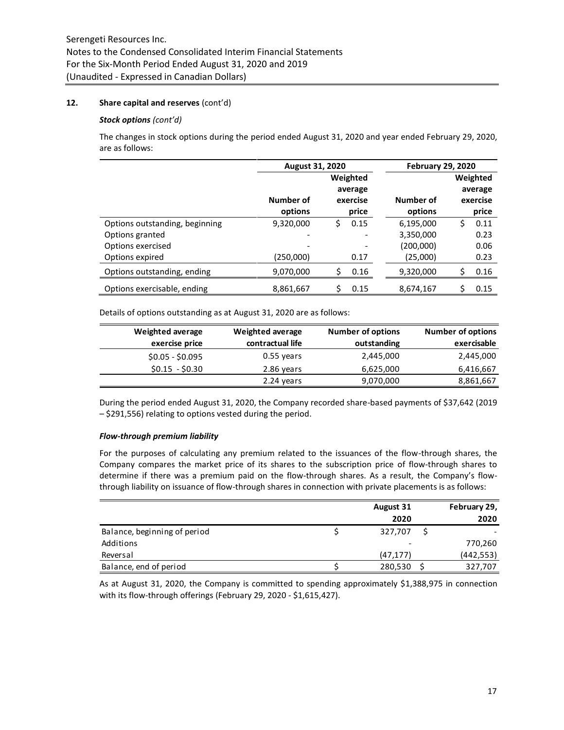## **12. Share capital and reserves** (cont'd)

#### *Stock options (cont'd)*

The changes in stock options during the period ended August 31, 2020 and year ended February 29, 2020, are as follows:

|                                | August 31, 2020 |    |          | <b>February 29, 2020</b> |    |          |
|--------------------------------|-----------------|----|----------|--------------------------|----|----------|
|                                |                 |    | Weighted |                          |    | Weighted |
|                                |                 |    | average  |                          |    | average  |
|                                | Number of       |    | exercise | Number of                |    | exercise |
|                                | options         |    | price    | options                  |    | price    |
| Options outstanding, beginning | 9,320,000       | \$ | 0.15     | 6,195,000                | \$ | 0.11     |
| Options granted                | -               |    |          | 3,350,000                |    | 0.23     |
| Options exercised              |                 |    |          | (200,000)                |    | 0.06     |
| Options expired                | (250,000)       |    | 0.17     | (25,000)                 |    | 0.23     |
| Options outstanding, ending    | 9,070,000       | Ś  | 0.16     | 9,320,000                | \$ | 0.16     |
| Options exercisable, ending    | 8,861,667       |    | 0.15     | 8,674,167                | \$ | 0.15     |

Details of options outstanding as at August 31, 2020 are as follows:

| Weighted average | Weighted average | <b>Number of options</b> | <b>Number of options</b> |
|------------------|------------------|--------------------------|--------------------------|
| exercise price   | contractual life | outstanding              | exercisable              |
| $$0.05 - $0.095$ | 0.55 years       | 2,445,000                | 2,445,000                |
| $$0.15 - $0.30$  | 2.86 years       | 6,625,000                | 6,416,667                |
|                  | 2.24 years       | 9,070,000                | 8,861,667                |

During the period ended August 31, 2020, the Company recorded share-based payments of \$37,642 (2019 – \$291,556) relating to options vested during the period.

## *Flow-through premium liability*

For the purposes of calculating any premium related to the issuances of the flow-through shares, the Company compares the market price of its shares to the subscription price of flow-through shares to determine if there was a premium paid on the flow-through shares. As a result, the Company's flowthrough liability on issuance of flow-through shares in connection with private placements is as follows:

|                              | August 31 | February 29, |
|------------------------------|-----------|--------------|
|                              | 2020      | 2020         |
| Balance, beginning of period | 327,707   |              |
| Additions                    |           | 770,260      |
| Reversal                     | (47, 177) | (442, 553)   |
| Balance, end of period       | 280,530   | 327,707      |

As at August 31, 2020, the Company is committed to spending approximately \$1,388,975 in connection with its flow-through offerings (February 29, 2020 - \$1,615,427).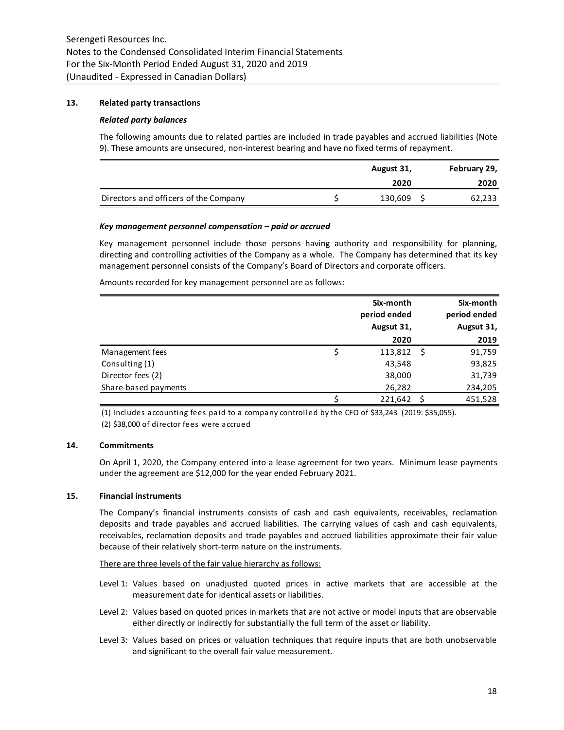## **13. Related party transactions**

#### *Related party balances*

The following amounts due to related parties are included in trade payables and accrued liabilities (Note 9). These amounts are unsecured, non-interest bearing and have no fixed terms of repayment.

|                                       | August 31, |            |  | February 29, |
|---------------------------------------|------------|------------|--|--------------|
|                                       |            | 2020       |  | 2020         |
| Directors and officers of the Company |            | 130,609 \$ |  | 62,233       |

#### *Key management personnel compensation – paid or accrued*

Key management personnel include those persons having authority and responsibility for planning, directing and controlling activities of the Company as a whole. The Company has determined that its key management personnel consists of the Company's Board of Directors and corporate officers.

Amounts recorded for key management personnel are as follows:

|                      | Six-month<br>period ended<br>Augsut 31, | Six-month<br>period ended<br>Augsut 31, |
|----------------------|-----------------------------------------|-----------------------------------------|
|                      | 2020                                    | 2019                                    |
| Management fees      | \$<br>$113,812 \quad$ \$                | 91,759                                  |
| Consulting (1)       | 43,548                                  | 93,825                                  |
| Director fees (2)    | 38,000                                  | 31,739                                  |
| Share-based payments | 26,282                                  | 234,205                                 |
|                      | 221,642                                 | 451,528                                 |

(1) Includes accounting fees paid to a company controlled by the CFO of \$33,243 (2019: \$35,055). (2) \$38,000 of director fees were accrued

#### **14. Commitments**

On April 1, 2020, the Company entered into a lease agreement for two years. Minimum lease payments under the agreement are \$12,000 for the year ended February 2021.

## **15. Financial instruments**

The Company's financial instruments consists of cash and cash equivalents, receivables, reclamation deposits and trade payables and accrued liabilities. The carrying values of cash and cash equivalents, receivables, reclamation deposits and trade payables and accrued liabilities approximate their fair value because of their relatively short-term nature on the instruments.

There are three levels of the fair value hierarchy as follows:

- Level 1: Values based on unadjusted quoted prices in active markets that are accessible at the measurement date for identical assets or liabilities.
- Level 2: Values based on quoted prices in markets that are not active or model inputs that are observable either directly or indirectly for substantially the full term of the asset or liability.
- Level 3: Values based on prices or valuation techniques that require inputs that are both unobservable and significant to the overall fair value measurement.